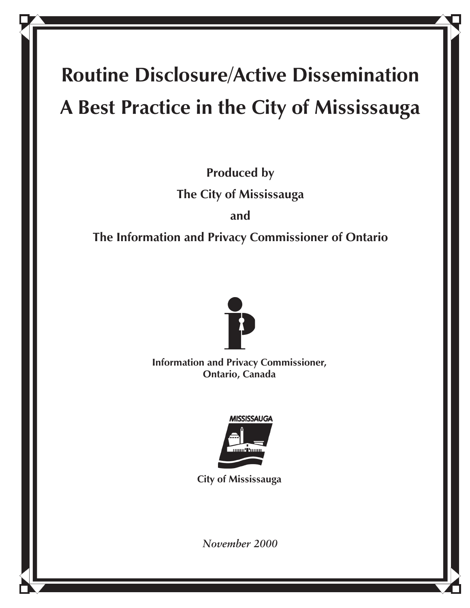# **Routine Disclosure/Active Dissemination A Best Practice in the City of Mississauga**

**Produced by The City of Mississauga and** 

**The Information and Privacy Commissioner of Ontario**



**Information and Privacy Commissioner, Ontario, Canada**



**City of Mississauga**

*November 2000*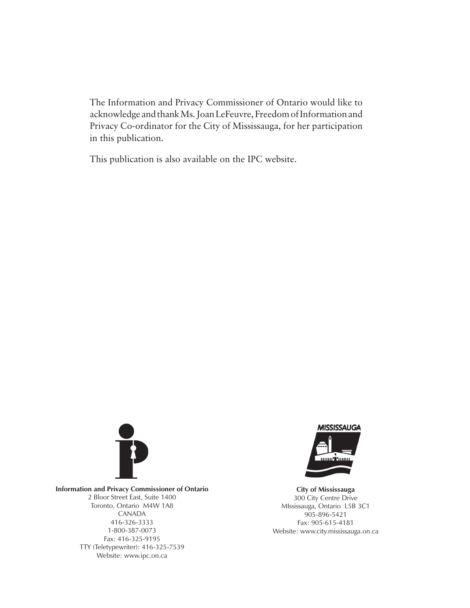The Information and Privacy Commissioner of Ontario would like to acknowledge and thank Ms. Joan LeFeuvre, Freedom of Information and Privacy Co-ordinator for the City of Mississauga, for her participation in this publication.

This publication is also available on the IPC website.



**Information and Privacy Commissioner of Ontario** 2 Bloor Street East, Suite 1400 Toronto, Ontario M4W 1A8 CANADA 416-326-3333 1-800-387-0073 Fax: 416-325-9195 TTY (Teletypewriter): 416-325-7539 Website: www.ipc.on.ca



**City of Mississauga** 300 City Centre Drive MIssissauga, Ontario L5B 3C1 905-896-5421 Fax: 905-615-4181 Website: www.city.mississauga.on.ca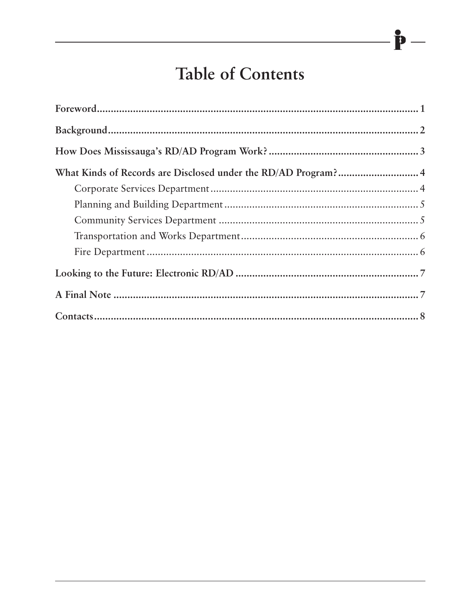## **Table of Contents**

P

| What Kinds of Records are Disclosed under the RD/AD Program? 4 |  |
|----------------------------------------------------------------|--|
|                                                                |  |
|                                                                |  |
|                                                                |  |
|                                                                |  |
|                                                                |  |
|                                                                |  |
|                                                                |  |
|                                                                |  |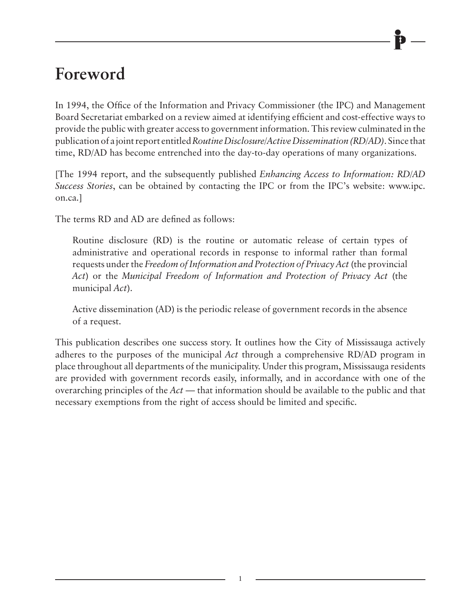## **Foreword**

In 1994, the Office of the Information and Privacy Commissioner (the IPC) and Management Board Secretariat embarked on a review aimed at identifying efficient and cost-effective ways to provide the public with greater access to government information. This review culminated in the publication of a joint report entitled *Routine Disclosure/Active Dissemination (RD/AD)*. Since that time, RD/AD has become entrenched into the day-to-day operations of many organizations.

[The 1994 report, and the subsequently published *Enhancing Access to Information: RD/AD Success Stories*, can be obtained by contacting the IPC or from the IPC's website: www.ipc. on.ca.]

The terms RD and AD are defined as follows:

Routine disclosure (RD) is the routine or automatic release of certain types of administrative and operational records in response to informal rather than formal requests under the *Freedom of Information and Protection of Privacy Act* (the provincial *Act*) or the *Municipal Freedom of Information and Protection of Privacy Act* (the municipal *Act*).

Active dissemination (AD) is the periodic release of government records in the absence of a request.

This publication describes one success story. It outlines how the City of Mississauga actively adheres to the purposes of the municipal *Act* through a comprehensive RD/AD program in place throughout all departments of the municipality. Under this program, Mississauga residents are provided with government records easily, informally, and in accordance with one of the overarching principles of the *Act* — that information should be available to the public and that necessary exemptions from the right of access should be limited and specific.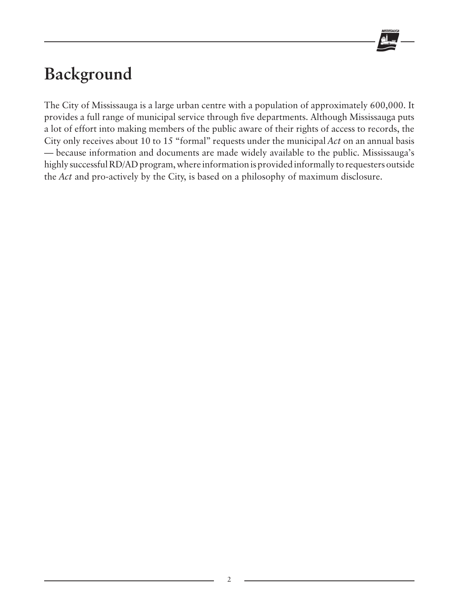

## **Background**

The City of Mississauga is a large urban centre with a population of approximately 600,000. It provides a full range of municipal service through five departments. Although Mississauga puts a lot of effort into making members of the public aware of their rights of access to records, the City only receives about 10 to 15 "formal" requests under the municipal *Act* on an annual basis — because information and documents are made widely available to the public. Mississauga's highly successful RD/AD program, where information is provided informally to requesters outside the *Act* and pro-actively by the City, is based on a philosophy of maximum disclosure.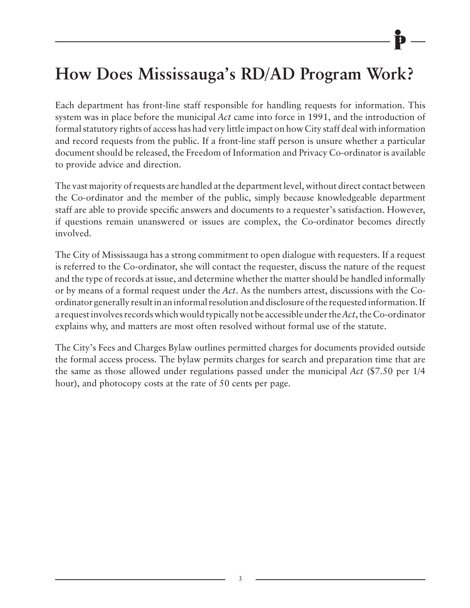## **How Does Mississauga's RD/AD Program Work?**

Each department has front-line staff responsible for handling requests for information. This system was in place before the municipal *Act* came into force in 1991, and the introduction of formal statutory rights of access has had very little impact on how City staff deal with information and record requests from the public. If a front-line staff person is unsure whether a particular document should be released, the Freedom of Information and Privacy Co-ordinator is available to provide advice and direction.

The vast majority of requests are handled at the department level, without direct contact between the Co-ordinator and the member of the public, simply because knowledgeable department staff are able to provide specific answers and documents to a requester's satisfaction. However, if questions remain unanswered or issues are complex, the Co-ordinator becomes directly involved.

The City of Mississauga has a strong commitment to open dialogue with requesters. If a request is referred to the Co-ordinator, she will contact the requester, discuss the nature of the request and the type of records at issue, and determine whether the matter should be handled informally or by means of a formal request under the *Act*. As the numbers attest, discussions with the Coordinator generally result in an informal resolution and disclosure of the requested information. If a request involves records which would typically not be accessible under the *Act*, the Co-ordinator explains why, and matters are most often resolved without formal use of the statute.

The City's Fees and Charges Bylaw outlines permitted charges for documents provided outside the formal access process. The bylaw permits charges for search and preparation time that are the same as those allowed under regulations passed under the municipal *Act* (\$7.50 per 1/4 hour), and photocopy costs at the rate of 50 cents per page.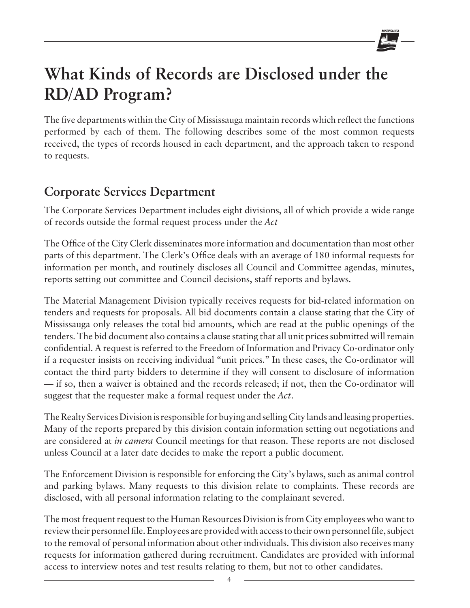## **What Kinds of Records are Disclosed under the RD/AD Program?**

The five departments within the City of Mississauga maintain records which reflect the functions performed by each of them. The following describes some of the most common requests received, the types of records housed in each department, and the approach taken to respond to requests.

### **Corporate Services Department**

The Corporate Services Department includes eight divisions, all of which provide a wide range of records outside the formal request process under the *Act*

The Office of the City Clerk disseminates more information and documentation than most other parts of this department. The Clerk's Office deals with an average of 180 informal requests for information per month, and routinely discloses all Council and Committee agendas, minutes, reports setting out committee and Council decisions, staff reports and bylaws.

The Material Management Division typically receives requests for bid-related information on tenders and requests for proposals. All bid documents contain a clause stating that the City of Mississauga only releases the total bid amounts, which are read at the public openings of the tenders. The bid document also contains a clause stating that all unit prices submitted will remain confidential. A request is referred to the Freedom of Information and Privacy Co-ordinator only if a requester insists on receiving individual "unit prices." In these cases, the Co-ordinator will contact the third party bidders to determine if they will consent to disclosure of information — if so, then a waiver is obtained and the records released; if not, then the Co-ordinator will suggest that the requester make a formal request under the *Act*.

The Realty Services Division is responsible for buying and selling City lands and leasing properties. Many of the reports prepared by this division contain information setting out negotiations and are considered at *in camera* Council meetings for that reason. These reports are not disclosed unless Council at a later date decides to make the report a public document.

The Enforcement Division is responsible for enforcing the City's bylaws, such as animal control and parking bylaws. Many requests to this division relate to complaints. These records are disclosed, with all personal information relating to the complainant severed.

The most frequent request to the Human Resources Division is from City employees who want to review their personnel file. Employees are provided with access to their own personnel file, subject to the removal of personal information about other individuals. This division also receives many requests for information gathered during recruitment. Candidates are provided with informal access to interview notes and test results relating to them, but not to other candidates.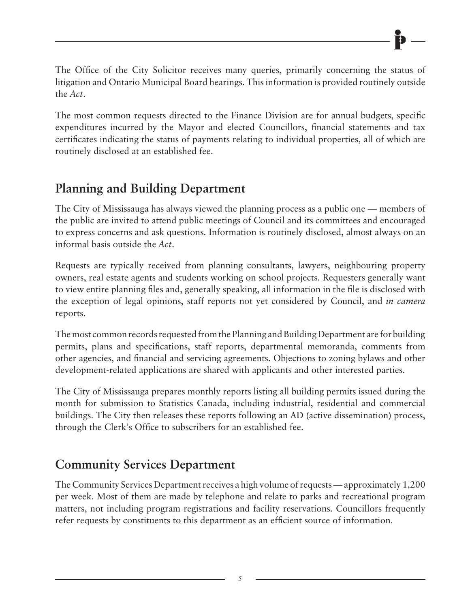The Office of the City Solicitor receives many queries, primarily concerning the status of litigation and Ontario Municipal Board hearings. This information is provided routinely outside the *Act*.

The most common requests directed to the Finance Division are for annual budgets, specific expenditures incurred by the Mayor and elected Councillors, financial statements and tax certificates indicating the status of payments relating to individual properties, all of which are routinely disclosed at an established fee.

### **Planning and Building Department**

The City of Mississauga has always viewed the planning process as a public one — members of the public are invited to attend public meetings of Council and its committees and encouraged to express concerns and ask questions. Information is routinely disclosed, almost always on an informal basis outside the *Act*.

Requests are typically received from planning consultants, lawyers, neighbouring property owners, real estate agents and students working on school projects. Requesters generally want to view entire planning files and, generally speaking, all information in the file is disclosed with the exception of legal opinions, staff reports not yet considered by Council, and *in camera* reports.

The most common records requested from the Planning and Building Department are for building permits, plans and specifications, staff reports, departmental memoranda, comments from other agencies, and financial and servicing agreements. Objections to zoning bylaws and other development-related applications are shared with applicants and other interested parties.

The City of Mississauga prepares monthly reports listing all building permits issued during the month for submission to Statistics Canada, including industrial, residential and commercial buildings. The City then releases these reports following an AD (active dissemination) process, through the Clerk's Office to subscribers for an established fee.

#### **Community Services Department**

The Community Services Department receives a high volume of requests — approximately 1,200 per week. Most of them are made by telephone and relate to parks and recreational program matters, not including program registrations and facility reservations. Councillors frequently refer requests by constituents to this department as an efficient source of information.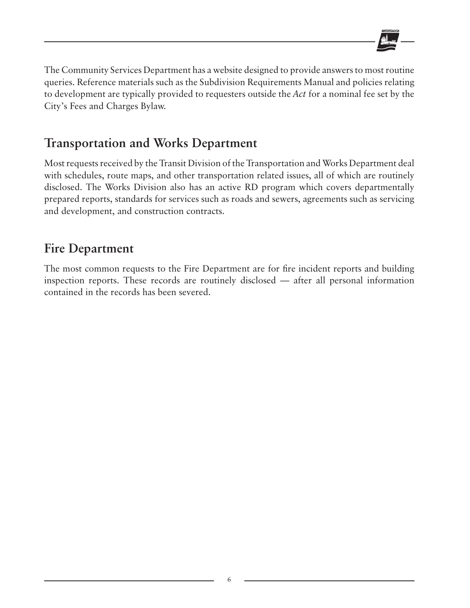

The Community Services Department has a website designed to provide answers to most routine queries. Reference materials such as the Subdivision Requirements Manual and policies relating to development are typically provided to requesters outside the *Act* for a nominal fee set by the City's Fees and Charges Bylaw.

#### **Transportation and Works Department**

Most requests received by the Transit Division of the Transportation and Works Department deal with schedules, route maps, and other transportation related issues, all of which are routinely disclosed. The Works Division also has an active RD program which covers departmentally prepared reports, standards for services such as roads and sewers, agreements such as servicing and development, and construction contracts.

#### **Fire Department**

The most common requests to the Fire Department are for fire incident reports and building inspection reports. These records are routinely disclosed — after all personal information contained in the records has been severed.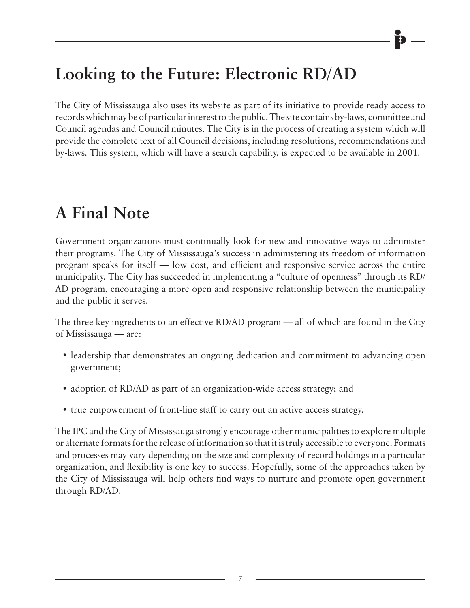## **Looking to the Future: Electronic RD/AD**

The City of Mississauga also uses its website as part of its initiative to provide ready access to records which may be of particular interest to the public. The site contains by-laws, committee and Council agendas and Council minutes. The City is in the process of creating a system which will provide the complete text of all Council decisions, including resolutions, recommendations and by-laws. This system, which will have a search capability, is expected to be available in 2001.

## **A Final Note**

Government organizations must continually look for new and innovative ways to administer their programs. The City of Mississauga's success in administering its freedom of information program speaks for itself — low cost, and efficient and responsive service across the entire municipality. The City has succeeded in implementing a "culture of openness" through its RD/ AD program, encouraging a more open and responsive relationship between the municipality and the public it serves.

The three key ingredients to an effective RD/AD program — all of which are found in the City of Mississauga — are:

- leadership that demonstrates an ongoing dedication and commitment to advancing open government;
- adoption of RD/AD as part of an organization-wide access strategy; and
- true empowerment of front-line staff to carry out an active access strategy.

The IPC and the City of Mississauga strongly encourage other municipalities to explore multiple or alternate formats for the release of information so that it is truly accessible to everyone. Formats and processes may vary depending on the size and complexity of record holdings in a particular organization, and flexibility is one key to success. Hopefully, some of the approaches taken by the City of Mississauga will help others find ways to nurture and promote open government through RD/AD.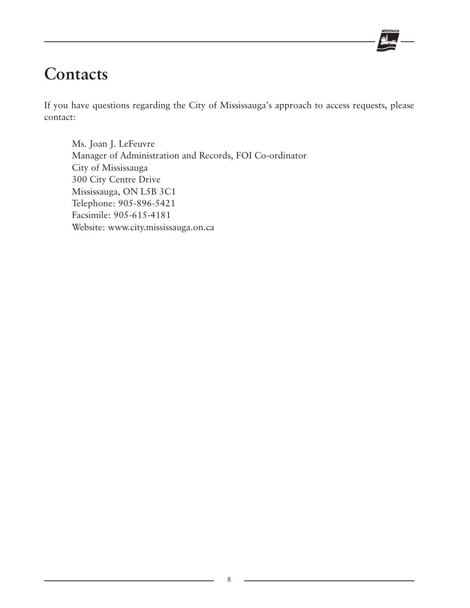

## **Contacts**

If you have questions regarding the City of Mississauga's approach to access requests, please contact:

Ms. Joan J. LeFeuvre Manager of Administration and Records, FOI Co-ordinator City of Mississauga 300 City Centre Drive Mississauga, ON L5B 3C1 Telephone: 905-896-5421 Facsimile: 905-615-4181 Website: www.city.mississauga.on.ca